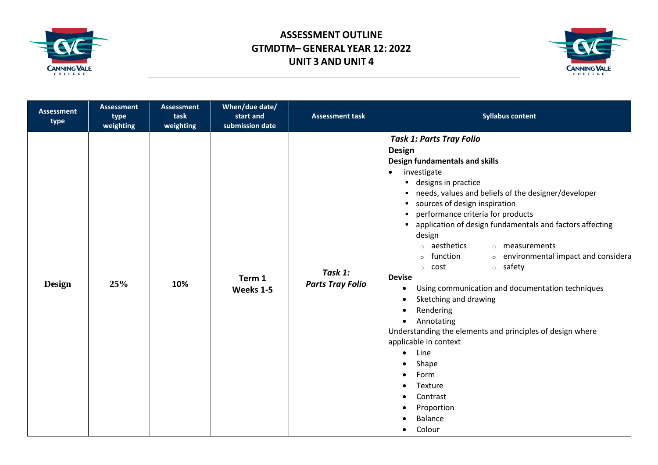



| <b>Assessment</b><br>type | <b>Assessment</b><br>type<br>weighting | <b>Assessment</b><br>task<br>weighting | When/due date/<br>start and<br>submission date | <b>Assessment task</b>             | <b>Syllabus content</b>                                                                                                                                                                                                                                                                                                                                                                                                                                                                                                                                                                                                                                                                                                                                                                                                                                                                                                                    |
|---------------------------|----------------------------------------|----------------------------------------|------------------------------------------------|------------------------------------|--------------------------------------------------------------------------------------------------------------------------------------------------------------------------------------------------------------------------------------------------------------------------------------------------------------------------------------------------------------------------------------------------------------------------------------------------------------------------------------------------------------------------------------------------------------------------------------------------------------------------------------------------------------------------------------------------------------------------------------------------------------------------------------------------------------------------------------------------------------------------------------------------------------------------------------------|
| <b>Design</b>             | 25%                                    | 10%                                    | Term 1<br>Weeks 1-5                            | Task 1:<br><b>Parts Tray Folio</b> | <b>Task 1: Parts Tray Folio</b><br><b>Design</b><br>Design fundamentals and skills<br>investigate<br>designs in practice<br>٠<br>needs, values and beliefs of the designer/developer<br>٠<br>sources of design inspiration<br>performance criteria for products<br>application of design fundamentals and factors affecting<br>design<br>• aesthetics<br>o measurements<br>o environmental impact and considera<br>function<br>$\circ$<br>○ safety<br>cost<br>$\circ$<br><b>Devise</b><br>Using communication and documentation techniques<br>$\bullet$<br>Sketching and drawing<br>$\bullet$<br>Rendering<br>$\bullet$<br>Annotating<br>$\bullet$<br>Understanding the elements and principles of design where<br>applicable in context<br>Line<br>$\bullet$<br>Shape<br>$\bullet$<br>Form<br>$\bullet$<br>Texture<br>$\bullet$<br>Contrast<br>$\bullet$<br>Proportion<br>$\bullet$<br><b>Balance</b><br>$\bullet$<br>Colour<br>$\bullet$ |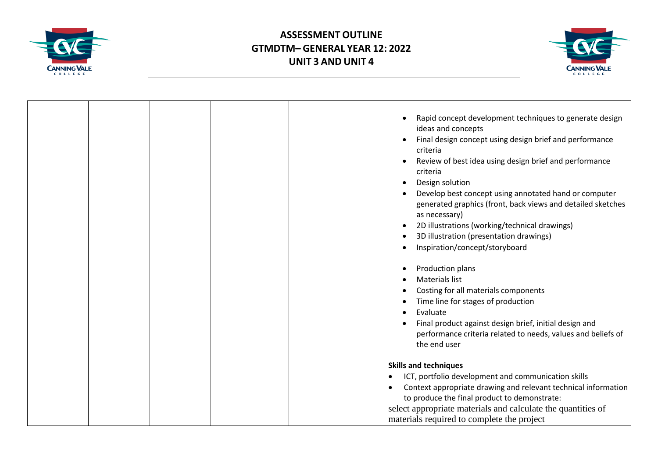



| Rapid concept development techniques to generate design<br>ideas and concepts<br>Final design concept using design brief and performance<br>$\bullet$<br>criteria<br>Review of best idea using design brief and performance<br>criteria<br>Design solution<br>$\bullet$ |
|-------------------------------------------------------------------------------------------------------------------------------------------------------------------------------------------------------------------------------------------------------------------------|
| Develop best concept using annotated hand or computer<br>generated graphics (front, back views and detailed sketches<br>as necessary)                                                                                                                                   |
| 2D illustrations (working/technical drawings)<br>$\bullet$                                                                                                                                                                                                              |
| 3D illustration (presentation drawings)                                                                                                                                                                                                                                 |
| Inspiration/concept/storyboard                                                                                                                                                                                                                                          |
| Production plans                                                                                                                                                                                                                                                        |
| <b>Materials list</b>                                                                                                                                                                                                                                                   |
| Costing for all materials components                                                                                                                                                                                                                                    |
| Time line for stages of production                                                                                                                                                                                                                                      |
| Evaluate                                                                                                                                                                                                                                                                |
| Final product against design brief, initial design and                                                                                                                                                                                                                  |
| performance criteria related to needs, values and beliefs of<br>the end user                                                                                                                                                                                            |
| <b>Skills and techniques</b>                                                                                                                                                                                                                                            |
| ICT, portfolio development and communication skills                                                                                                                                                                                                                     |
| Context appropriate drawing and relevant technical information<br>to produce the final product to demonstrate:                                                                                                                                                          |
| select appropriate materials and calculate the quantities of                                                                                                                                                                                                            |
| materials required to complete the project                                                                                                                                                                                                                              |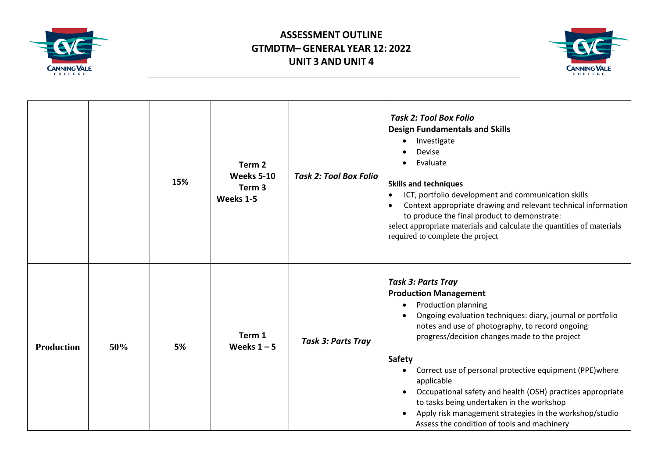



|                   |     | 15% | Term <sub>2</sub><br><b>Weeks 5-10</b><br>Term <sub>3</sub><br>Weeks 1-5 | <b>Task 2: Tool Box Folio</b> | <b>Task 2: Tool Box Folio</b><br><b>Design Fundamentals and Skills</b><br>Investigate<br>$\bullet$<br>Devise<br>Evaluate<br><b>Skills and techniques</b><br>ICT, portfolio development and communication skills<br>Context appropriate drawing and relevant technical information<br>to produce the final product to demonstrate:<br>select appropriate materials and calculate the quantities of materials<br>required to complete the project                                                                                                                                                                                            |
|-------------------|-----|-----|--------------------------------------------------------------------------|-------------------------------|--------------------------------------------------------------------------------------------------------------------------------------------------------------------------------------------------------------------------------------------------------------------------------------------------------------------------------------------------------------------------------------------------------------------------------------------------------------------------------------------------------------------------------------------------------------------------------------------------------------------------------------------|
| <b>Production</b> | 50% | 5%  | Term 1<br>Weeks $1 - 5$                                                  | <b>Task 3: Parts Tray</b>     | <b>Task 3: Parts Tray</b><br><b>Production Management</b><br><b>Production planning</b><br>$\bullet$<br>Ongoing evaluation techniques: diary, journal or portfolio<br>$\bullet$<br>notes and use of photography, to record ongoing<br>progress/decision changes made to the project<br><b>Safety</b><br>Correct use of personal protective equipment (PPE) where<br>$\bullet$<br>applicable<br>Occupational safety and health (OSH) practices appropriate<br>$\bullet$<br>to tasks being undertaken in the workshop<br>Apply risk management strategies in the workshop/studio<br>$\bullet$<br>Assess the condition of tools and machinery |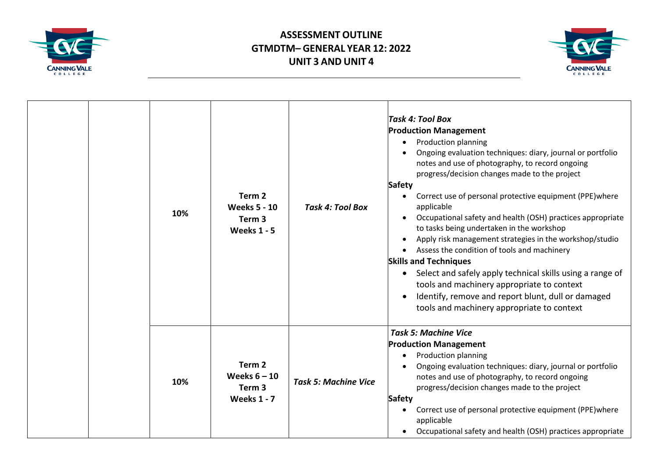



| 10% | Term <sub>2</sub><br><b>Weeks 5 - 10</b><br>Term <sub>3</sub><br><b>Weeks 1 - 5</b> | <b>Task 4: Tool Box</b>     | Task 4: Tool Box<br><b>Production Management</b><br><b>Production planning</b><br>$\bullet$<br>Ongoing evaluation techniques: diary, journal or portfolio<br>notes and use of photography, to record ongoing<br>progress/decision changes made to the project<br>Safety<br>Correct use of personal protective equipment (PPE) where<br>applicable<br>Occupational safety and health (OSH) practices appropriate<br>to tasks being undertaken in the workshop<br>Apply risk management strategies in the workshop/studio<br>$\bullet$<br>Assess the condition of tools and machinery<br><b>Skills and Techniques</b><br>Select and safely apply technical skills using a range of<br>tools and machinery appropriate to context<br>Identify, remove and report blunt, dull or damaged<br>$\bullet$<br>tools and machinery appropriate to context |
|-----|-------------------------------------------------------------------------------------|-----------------------------|-------------------------------------------------------------------------------------------------------------------------------------------------------------------------------------------------------------------------------------------------------------------------------------------------------------------------------------------------------------------------------------------------------------------------------------------------------------------------------------------------------------------------------------------------------------------------------------------------------------------------------------------------------------------------------------------------------------------------------------------------------------------------------------------------------------------------------------------------|
| 10% | Term <sub>2</sub><br>Weeks $6 - 10$<br>Term 3<br><b>Weeks 1 - 7</b>                 | <b>Task 5: Machine Vice</b> | <b>Task 5: Machine Vice</b><br><b>Production Management</b><br>Production planning<br>Ongoing evaluation techniques: diary, journal or portfolio<br>$\bullet$<br>notes and use of photography, to record ongoing<br>progress/decision changes made to the project<br><b>Safety</b><br>Correct use of personal protective equipment (PPE) where<br>applicable<br>Occupational safety and health (OSH) practices appropriate                                                                                                                                                                                                                                                                                                                                                                                                                      |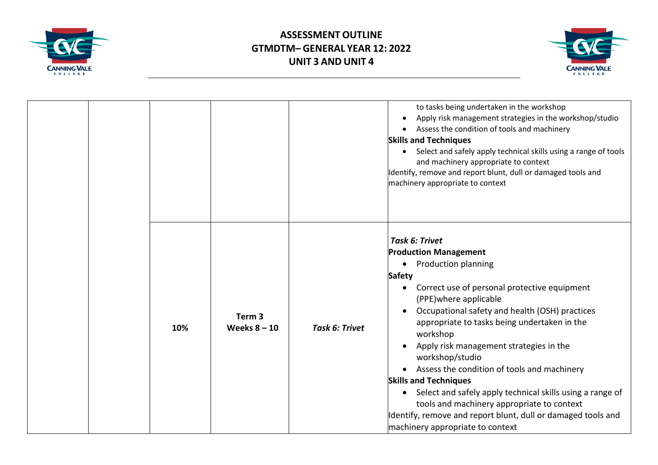



|     |                                     |                       | to tasks being undertaken in the workshop<br>Apply risk management strategies in the workshop/studio<br>$\bullet$<br>Assess the condition of tools and machinery<br>$\bullet$<br><b>Skills and Techniques</b><br>Select and safely apply technical skills using a range of tools<br>$\bullet$<br>and machinery appropriate to context<br>Identify, remove and report blunt, dull or damaged tools and<br>machinery appropriate to context                                                                                                                                                                                                                                                                                       |
|-----|-------------------------------------|-----------------------|---------------------------------------------------------------------------------------------------------------------------------------------------------------------------------------------------------------------------------------------------------------------------------------------------------------------------------------------------------------------------------------------------------------------------------------------------------------------------------------------------------------------------------------------------------------------------------------------------------------------------------------------------------------------------------------------------------------------------------|
| 10% | Term <sub>3</sub><br>Weeks $8 - 10$ | <b>Task 6: Trivet</b> | <b>Task 6: Trivet</b><br><b>Production Management</b><br><b>Production planning</b><br>$\bullet$<br>Safety<br>Correct use of personal protective equipment<br>$\bullet$<br>(PPE) where applicable<br>Occupational safety and health (OSH) practices<br>$\bullet$<br>appropriate to tasks being undertaken in the<br>workshop<br>Apply risk management strategies in the<br>$\bullet$<br>workshop/studio<br>Assess the condition of tools and machinery<br>$\bullet$<br><b>Skills and Techniques</b><br>Select and safely apply technical skills using a range of<br>$\bullet$<br>tools and machinery appropriate to context<br>Identify, remove and report blunt, dull or damaged tools and<br>machinery appropriate to context |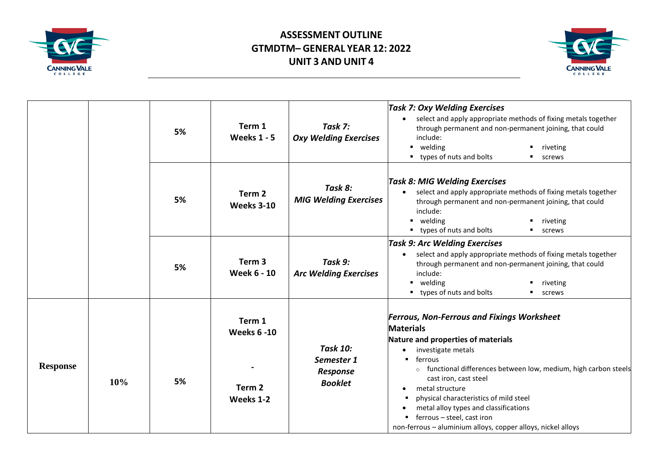



|                 | 5%  |    | Term 1<br><b>Weeks 1 - 5</b>                                   | Task 7:<br><b>Oxy Welding Exercises</b>                     | <b>Task 7: Oxy Welding Exercises</b><br>select and apply appropriate methods of fixing metals together<br>through permanent and non-permanent joining, that could<br>include:<br>welding<br>riveting<br>types of nuts and bolts<br>screws                                                                                                                                                                                                                  |
|-----------------|-----|----|----------------------------------------------------------------|-------------------------------------------------------------|------------------------------------------------------------------------------------------------------------------------------------------------------------------------------------------------------------------------------------------------------------------------------------------------------------------------------------------------------------------------------------------------------------------------------------------------------------|
|                 |     | 5% | Term <sub>2</sub><br><b>Weeks 3-10</b>                         | Task 8:<br><b>MIG Welding Exercises</b>                     | <b>Task 8: MIG Welding Exercises</b><br>select and apply appropriate methods of fixing metals together<br>through permanent and non-permanent joining, that could<br>include:<br>welding<br>riveting<br>■ types of nuts and bolts<br><b>screws</b>                                                                                                                                                                                                         |
|                 |     | 5% | Term <sub>3</sub><br><b>Week 6 - 10</b>                        | Task 9:<br><b>Arc Welding Exercises</b>                     | <b>Task 9: Arc Welding Exercises</b><br>select and apply appropriate methods of fixing metals together<br>through permanent and non-permanent joining, that could<br>include:<br>welding<br>riveting<br>• types of nuts and bolts<br><b>screws</b>                                                                                                                                                                                                         |
| <b>Response</b> | 10% | 5% | Term 1<br><b>Weeks 6 -10</b><br>Term <sub>2</sub><br>Weeks 1-2 | <b>Task 10:</b><br>Semester 1<br>Response<br><b>Booklet</b> | <b>Ferrous, Non-Ferrous and Fixings Worksheet</b><br><b>Materials</b><br>Nature and properties of materials<br>investigate metals<br>ferrous<br>o functional differences between low, medium, high carbon steels<br>cast iron, cast steel<br>metal structure<br>$\bullet$<br>physical characteristics of mild steel<br>metal alloy types and classifications<br>ferrous - steel, cast iron<br>non-ferrous - aluminium alloys, copper alloys, nickel alloys |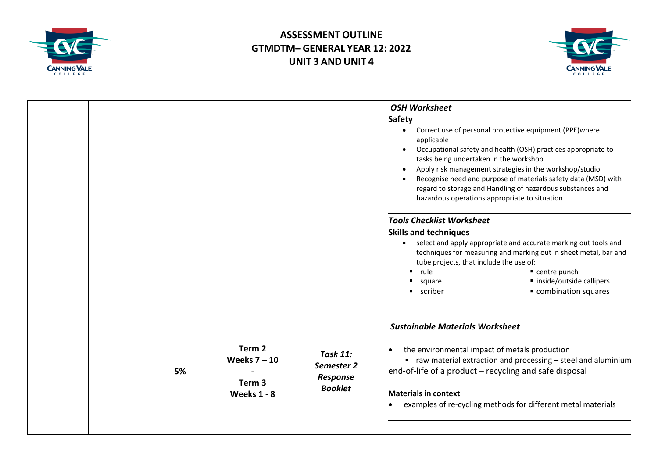



|    |                                                                     |                                                                    | <b>OSH Worksheet</b><br><b>Safety</b><br>Correct use of personal protective equipment (PPE) where<br>$\bullet$<br>applicable<br>Occupational safety and health (OSH) practices appropriate to<br>$\bullet$<br>tasks being undertaken in the workshop<br>Apply risk management strategies in the workshop/studio<br>$\bullet$<br>Recognise need and purpose of materials safety data (MSD) with<br>regard to storage and Handling of hazardous substances and<br>hazardous operations appropriate to situation<br><b>Tools Checklist Worksheet</b><br><b>Skills and techniques</b><br>select and apply appropriate and accurate marking out tools and<br>$\bullet$<br>techniques for measuring and marking out in sheet metal, bar and<br>tube projects, that include the use of:<br>rule<br>■ centre punch<br>· inside/outside callipers<br>square<br>combination squares<br>scriber |
|----|---------------------------------------------------------------------|--------------------------------------------------------------------|--------------------------------------------------------------------------------------------------------------------------------------------------------------------------------------------------------------------------------------------------------------------------------------------------------------------------------------------------------------------------------------------------------------------------------------------------------------------------------------------------------------------------------------------------------------------------------------------------------------------------------------------------------------------------------------------------------------------------------------------------------------------------------------------------------------------------------------------------------------------------------------|
| 5% | Term 2<br>Weeks $7 - 10$<br>Term <sub>3</sub><br><b>Weeks 1 - 8</b> | <b>Task 11:</b><br>Semester 2<br><b>Response</b><br><b>Booklet</b> | <b>Sustainable Materials Worksheet</b><br>the environmental impact of metals production<br>$\blacksquare$ raw material extraction and processing – steel and aluminium<br>end-of-life of a product - recycling and safe disposal<br><b>Materials in context</b><br>examples of re-cycling methods for different metal materials                                                                                                                                                                                                                                                                                                                                                                                                                                                                                                                                                      |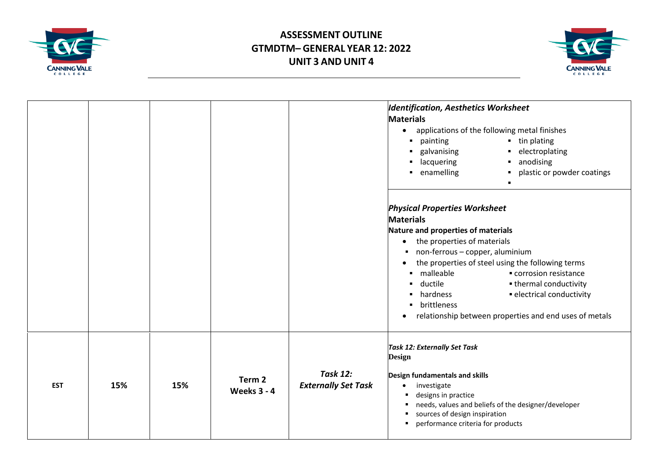



|            |     |     |                              |                                               | <b>Identification, Aesthetics Worksheet</b><br><b>Materials</b><br>applications of the following metal finishes<br>$\bullet$<br>• tin plating<br>painting<br>galvanising<br>• electroplating<br>٠<br>anodising<br>lacquering<br>$\blacksquare$<br>٠<br>enamelling<br>plastic or powder coatings<br>$\blacksquare$<br>$\blacksquare$<br>$\blacksquare$                                                                                                              |
|------------|-----|-----|------------------------------|-----------------------------------------------|--------------------------------------------------------------------------------------------------------------------------------------------------------------------------------------------------------------------------------------------------------------------------------------------------------------------------------------------------------------------------------------------------------------------------------------------------------------------|
|            |     |     |                              |                                               | <b>Physical Properties Worksheet</b><br><b>Materials</b><br>Nature and properties of materials<br>the properties of materials<br>$\bullet$<br>non-ferrous - copper, aluminium<br>the properties of steel using the following terms<br>$\bullet$<br>malleable<br>corrosion resistance<br>٠<br>ductile<br>• thermal conductivity<br>٠<br>· electrical conductivity<br>hardness<br>brittleness<br>relationship between properties and end uses of metals<br>$\bullet$ |
| <b>EST</b> | 15% | 15% | Term 2<br><b>Weeks 3 - 4</b> | <b>Task 12:</b><br><b>Externally Set Task</b> | <b>Task 12: Externally Set Task</b><br><b>Design</b><br>Design fundamentals and skills<br>investigate<br>$\bullet$<br>designs in practice<br>needs, values and beliefs of the designer/developer<br>sources of design inspiration<br>performance criteria for products                                                                                                                                                                                             |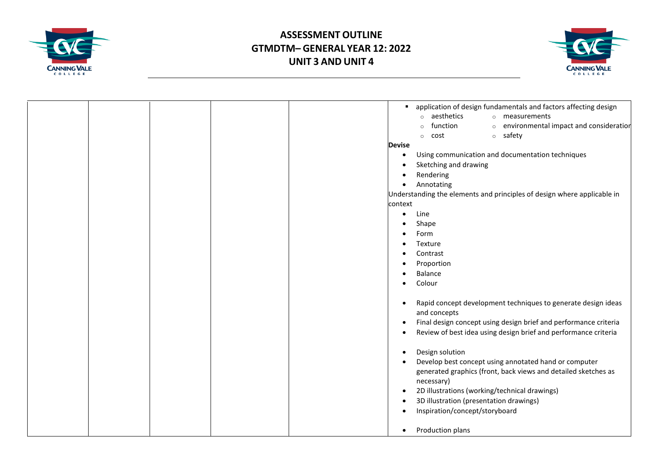



| application of design fundamentals and factors affecting design               |
|-------------------------------------------------------------------------------|
| aesthetics<br>o measurements<br>$\circ$                                       |
| function<br>o environmental impact and consideration                          |
| o safety<br>cost<br>$\circ$                                                   |
| <b>Devise</b>                                                                 |
| Using communication and documentation techniques<br>$\bullet$                 |
| Sketching and drawing<br>$\bullet$                                            |
| Rendering<br>$\bullet$                                                        |
| Annotating<br>$\bullet$                                                       |
| Understanding the elements and principles of design where applicable in       |
| context                                                                       |
| Line<br>$\bullet$                                                             |
| Shape                                                                         |
| Form<br>٠                                                                     |
| Texture<br>٠                                                                  |
| Contrast<br>$\bullet$                                                         |
| Proportion<br>٠                                                               |
| <b>Balance</b><br>٠                                                           |
| Colour<br>$\bullet$                                                           |
|                                                                               |
| Rapid concept development techniques to generate design ideas<br>$\bullet$    |
| and concepts                                                                  |
| Final design concept using design brief and performance criteria<br>$\bullet$ |
| Review of best idea using design brief and performance criteria<br>$\bullet$  |
| Design solution<br>$\bullet$                                                  |
| Develop best concept using annotated hand or computer<br>$\bullet$            |
| generated graphics (front, back views and detailed sketches as                |
| necessary)                                                                    |
| 2D illustrations (working/technical drawings)<br>$\bullet$                    |
| 3D illustration (presentation drawings)<br>$\bullet$                          |
| Inspiration/concept/storyboard<br>$\bullet$                                   |
|                                                                               |
| Production plans<br>$\bullet$                                                 |
|                                                                               |